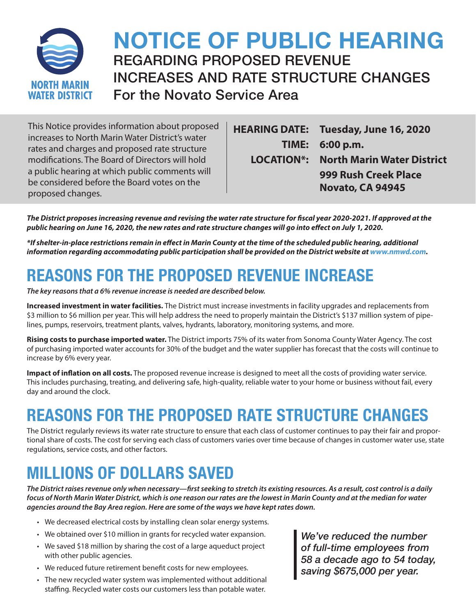

## **NOTICE OF PUBLIC HEARING** REGARDING PROPOSED REVENUE INCREASES AND RATE STRUCTURE CHANGES For the Novato Service Area

This Notice provides information about proposed increases to North Marin Water District's water rates and charges and proposed rate structure modifications. The Board of Directors will hold a public hearing at which public comments will be considered before the Board votes on the proposed changes.

**HEARING DATE: Tuesday, June 16, 2020 TIME: 6:00 p.m. LOCATION\*: North Marin Water District 999 Rush Creek Place Novato, CA 94945**

*The District proposes increasing revenue and revising the water rate structure for fiscal year 2020-2021. If approved at the public hearing on June 16, 2020, the new rates and rate structure changes will go into effect on July 1, 2020.* 

*\*If shelter-in-place restrictions remain in effect in Marin County at the time of the scheduled public hearing, additional information regarding accommodating public participation shall be provided on the District website at www.nmwd.com.*

## **REASONS FOR THE PROPOSED REVENUE INCREASE**

*The key reasons that a 6% revenue increase is needed are described below.*

**Increased investment in water facilities.** The District must increase investments in facility upgrades and replacements from \$3 million to \$6 million per year. This will help address the need to properly maintain the District's \$137 million system of pipelines, pumps, reservoirs, treatment plants, valves, hydrants, laboratory, monitoring systems, and more.

**Rising costs to purchase imported water.** The District imports 75% of its water from Sonoma County Water Agency. The cost of purchasing imported water accounts for 30% of the budget and the water supplier has forecast that the costs will continue to increase by 6% every year.

**Impact of inflation on all costs.** The proposed revenue increase is designed to meet all the costs of providing water service. This includes purchasing, treating, and delivering safe, high-quality, reliable water to your home or business without fail, every day and around the clock.

## **REASONS FOR THE PROPOSED RATE STRUCTURE CHANGES**

The District regularly reviews its water rate structure to ensure that each class of customer continues to pay their fair and proportional share of costs. The cost for serving each class of customers varies over time because of changes in customer water use, state regulations, service costs, and other factors.

## **MILLIONS OF DOLLARS SAVED**

*The District raises revenue only when necessary—first seeking to stretch its existing resources. As a result, cost control is a daily focus of North Marin Water District, which is one reason our rates are the lowest in Marin County and at the median for water agencies around the Bay Area region. Here are some of the ways we have kept rates down.*

- We decreased electrical costs by installing clean solar energy systems.
- We obtained over \$10 million in grants for recycled water expansion.
- We saved \$18 million by sharing the cost of a large aqueduct project with other public agencies.
- We reduced future retirement benefit costs for new employees.
- The new recycled water system was implemented without additional staffing. Recycled water costs our customers less than potable water.

*We've reduced the number of full-time employees from 58 a decade ago to 54 today, saving \$675,000 per year.*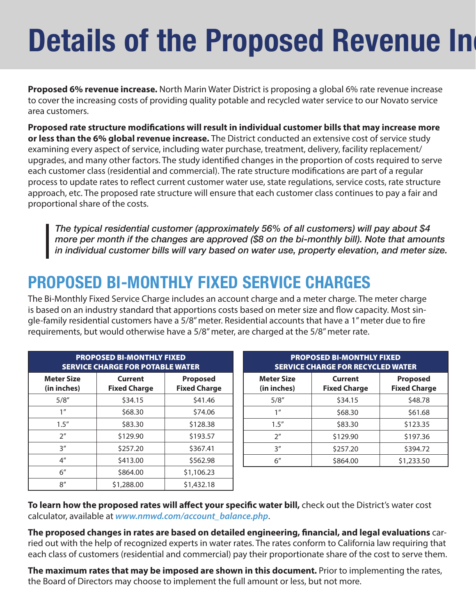# **Details of the Proposed Revenue Ing**

**Proposed 6% revenue increase.** North Marin Water District is proposing a global 6% rate revenue increase to cover the increasing costs of providing quality potable and recycled water service to our Novato service area customers.

**Proposed rate structure modifications will result in individual customer bills that may increase more or less than the 6% global revenue increase.** The District conducted an extensive cost of service study examining every aspect of service, including water purchase, treatment, delivery, facility replacement/ upgrades, and many other factors. The study identified changes in the proportion of costs required to serve each customer class (residential and commercial). The rate structure modifications are part of a regular process to update rates to reflect current customer water use, state regulations, service costs, rate structure approach, etc. The proposed rate structure will ensure that each customer class continues to pay a fair and proportional share of the costs.

*The typical residential customer (approximately 56% of all customers) will pay about \$4 more per month if the changes are approved (\$8 on the bi-monthly bill). Note that amounts in individual customer bills will vary based on water use, property elevation, and meter size.*

## **PROPOSED BI-MONTHLY FIXED SERVICE CHARGES**

The Bi-Monthly Fixed Service Charge includes an account charge and a meter charge. The meter charge is based on an industry standard that apportions costs based on meter size and flow capacity. Most single-family residential customers have a 5/8" meter. Residential accounts that have a 1" meter due to fire requirements, but would otherwise have a 5/8" meter, are charged at the 5/8" meter rate.

| <b>PROPOSED BI-MONTHLY FIXED</b><br><b>SERVICE CHARGE FOR POTABLE WATER</b> |                                |                                        |  |  |
|-----------------------------------------------------------------------------|--------------------------------|----------------------------------------|--|--|
| <b>Meter Size</b><br>(in inches)                                            | Current<br><b>Fixed Charge</b> | <b>Proposed</b><br><b>Fixed Charge</b> |  |  |
| 5/8''                                                                       | \$34.15                        | \$41.46                                |  |  |
| 1 <sup>''</sup>                                                             | \$68.30                        | \$74.06                                |  |  |
| 1.5''                                                                       | \$83.30                        | \$128.38                               |  |  |
| 2 <sup>n</sup>                                                              | \$129.90                       | \$193.57                               |  |  |
| 3''                                                                         | \$257.20                       | \$367.41                               |  |  |
| 4 <sup>''</sup>                                                             | \$413.00                       | \$562.98                               |  |  |
| 6''                                                                         | \$864.00                       | \$1,106.23                             |  |  |
| 8''                                                                         | \$1,288.00                     | \$1,432.18                             |  |  |

| <b>PROPOSED BI-MONTHLY FIXED</b><br><b>SERVICE CHARGE FOR RECYCLED WATER</b> |                                |                                        |  |
|------------------------------------------------------------------------------|--------------------------------|----------------------------------------|--|
| <b>Meter Size</b><br>(in inches)                                             | Current<br><b>Fixed Charge</b> | <b>Proposed</b><br><b>Fixed Charge</b> |  |
| 5/8''                                                                        | \$34.15                        | \$48.78                                |  |
| 1 <sup>''</sup>                                                              | \$68.30                        | \$61.68                                |  |
| 1.5''                                                                        | \$83.30                        | \$123.35                               |  |
| 2 <sup>n</sup>                                                               | \$129.90                       | \$197.36                               |  |
| 3''                                                                          | \$257.20                       | \$394.72                               |  |
| 6''                                                                          | \$864.00                       | \$1,233.50                             |  |

**To learn how the proposed rates will affect your specific water bill,** check out the District's water cost calculator, available at *www.nmwd.com/account\_balance.php*.

**The proposed changes in rates are based on detailed engineering, financial, and legal evaluations** carried out with the help of recognized experts in water rates. The rates conform to California law requiring that each class of customers (residential and commercial) pay their proportionate share of the cost to serve them.

**The maximum rates that may be imposed are shown in this document.** Prior to implementing the rates, the Board of Directors may choose to implement the full amount or less, but not more.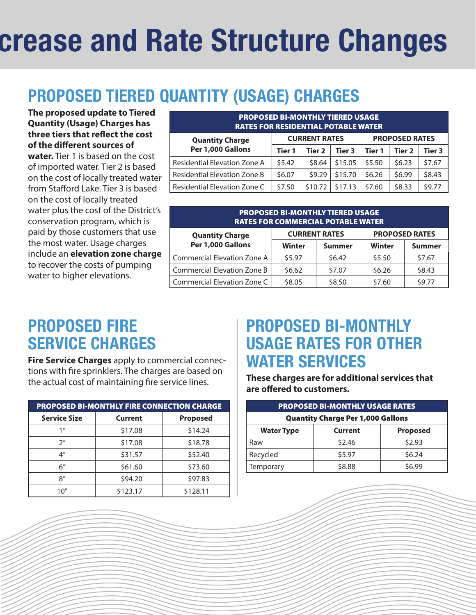# **details of the Rate Structure Changes**

# **PROPOSED TIERED QUANTITY (USAGE) CHARGES**

**The proposed update to Tiered Quantity (Usage) Charges has three tiers that reflect the cost of the different sources of water.** Tier 1 is based on the cost of imported water. Tier 2 is based on the cost of locally treated water from Stafford Lake. Tier 3 is based on the cost of locally treated water plus the cost of the District's conservation program, which is paid by those customers that use the most water. Usage charges include an **elevation zone charge** to recover the costs of pumping water to higher elevations.

| <b>PROPOSED BI-MONTHLY TIERED USAGE</b><br><b>RATES FOR RESIDENTIAL POTABLE WATER</b> |                      |         |                       |        |        |        |
|---------------------------------------------------------------------------------------|----------------------|---------|-----------------------|--------|--------|--------|
| <b>Quantity Charge</b><br>Per 1,000 Gallons                                           | <b>CURRENT RATES</b> |         | <b>PROPOSED RATES</b> |        |        |        |
|                                                                                       | Tier 1               | Tier 2  | Tier <sub>3</sub>     | Tier 1 | Tier 2 | Tier 3 |
| <b>Residential Elevation Zone A</b>                                                   | 55.42                | \$8.64  | \$15.05               | \$5.50 | \$6.23 | \$7.67 |
| Residential Elevation Zone B                                                          | \$6.07               | \$9.29  | \$15.70               | \$6.26 | \$6.99 | \$8.43 |
| Residential Elevation Zone C                                                          | \$7.50               | \$10.72 | \$17.13               | \$7.60 | \$8.33 | \$9.77 |

| <b>PROPOSED BI-MONTHLY TIERED USAGE</b><br><b>RATES FOR COMMERCIAL POTABLE WATER</b> |               |                      |                       |               |  |
|--------------------------------------------------------------------------------------|---------------|----------------------|-----------------------|---------------|--|
| <b>Quantity Charge</b><br>Per 1,000 Gallons                                          |               | <b>CURRENT RATES</b> | <b>PROPOSED RATES</b> |               |  |
|                                                                                      | <b>Winter</b> | Summer               | Winter                | <b>Summer</b> |  |
| <b>Commercial Elevation Zone A</b>                                                   | \$5.97        | 56.42                | \$5.50                | \$7.67        |  |
| Commercial Elevation Zone B                                                          | \$6.62        | \$7.07               | \$6.26                | \$8.43        |  |
| Commercial Elevation Zone C                                                          | \$8.05        | \$8.50               | \$7.60                | \$9.77        |  |

### **PROPOSED FIRE SERVICE CHARGES**

**Fire Service Charges** apply to commercial connections with fire sprinklers. The charges are based on the actual cost of maintaining fire service lines.

| <b>PROPOSED BI-MONTHLY FIRE CONNECTION CHARGE</b> |          |                 |  |
|---------------------------------------------------|----------|-----------------|--|
| <b>Service Size</b>                               | Current  | <b>Proposed</b> |  |
| 1''                                               | \$17.08  | \$14.24         |  |
| 2 <sup>''</sup>                                   | \$17.08  | \$18.78         |  |
| $4^{\prime\prime}$                                | \$31.57  | \$52.40         |  |
| $6^{\prime\prime}$                                | \$61.60  | \$73.60         |  |
| 8''                                               | \$94.20  | \$97.83         |  |
| 10''                                              | \$123.17 | \$128.11        |  |

### **PROPOSED BI-MONTHLY USAGE RATES FOR OTHER WATER SERVICES**

**These charges are for additional services that are offered to customers.**

| <b>PROPOSED BI-MONTHLY USAGE RATES</b>   |                                   |        |  |  |
|------------------------------------------|-----------------------------------|--------|--|--|
| <b>Quantity Charge Per 1,000 Gallons</b> |                                   |        |  |  |
| <b>Water Type</b>                        | <b>Proposed</b><br><b>Current</b> |        |  |  |
| Raw                                      | \$2.46                            | \$2.93 |  |  |
| Recycled                                 | \$5.97                            | \$6.24 |  |  |
| Temporary                                | \$8.88                            | \$6.99 |  |  |